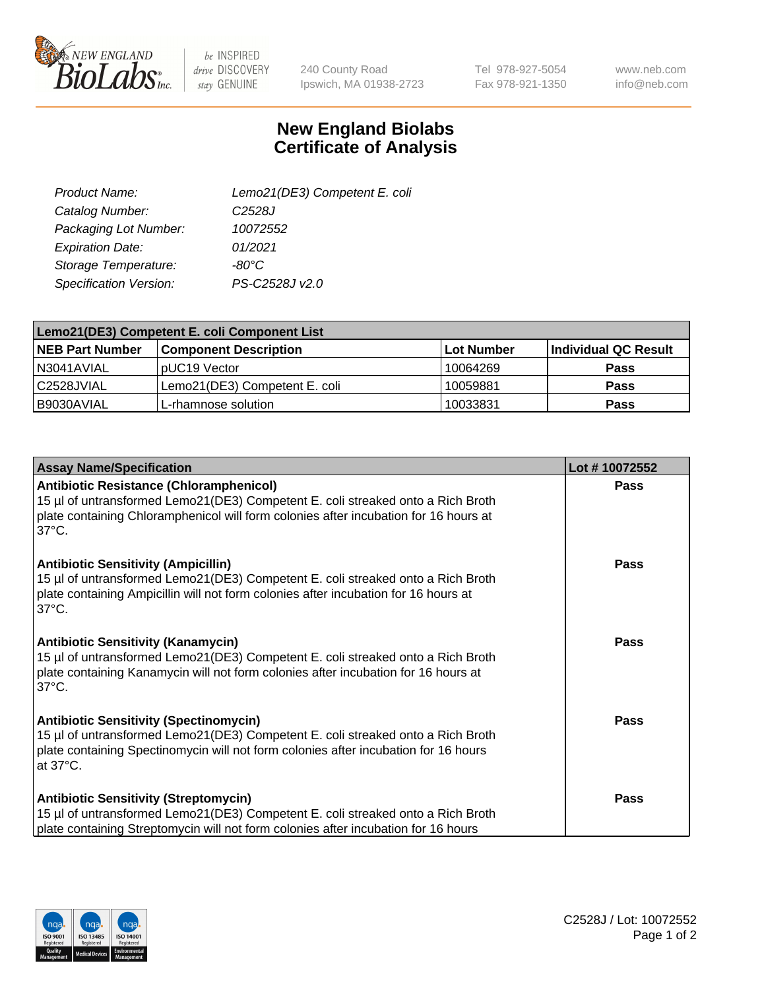

 $be$  INSPIRED drive DISCOVERY stay GENUINE

240 County Road Ipswich, MA 01938-2723 Tel 978-927-5054 Fax 978-921-1350

www.neb.com info@neb.com

## **New England Biolabs Certificate of Analysis**

| Lemo21(DE3) Competent E. coli |
|-------------------------------|
| C <sub>2528</sub> J           |
| 10072552                      |
| 01/2021                       |
| $-80^{\circ}$ C               |
| PS-C2528J v2.0                |
|                               |

| Lemo21(DE3) Competent E. coli Component List |                               |                   |                      |  |
|----------------------------------------------|-------------------------------|-------------------|----------------------|--|
| <b>NEB Part Number</b>                       | <b>Component Description</b>  | <b>Lot Number</b> | Individual QC Result |  |
| I N3041AVIAL                                 | IpUC19 Vector                 | 10064269          | Pass                 |  |
| C2528JVIAL                                   | Lemo21(DE3) Competent E. coli | 10059881          | <b>Pass</b>          |  |
| B9030AVIAL                                   | L-rhamnose solution           | 10033831          | <b>Pass</b>          |  |

| <b>Assay Name/Specification</b>                                                                                                                                                                                                              | Lot #10072552 |
|----------------------------------------------------------------------------------------------------------------------------------------------------------------------------------------------------------------------------------------------|---------------|
| <b>Antibiotic Resistance (Chloramphenicol)</b><br>15 µl of untransformed Lemo21(DE3) Competent E. coli streaked onto a Rich Broth<br>plate containing Chloramphenicol will form colonies after incubation for 16 hours at<br>$37^{\circ}$ C. | <b>Pass</b>   |
| <b>Antibiotic Sensitivity (Ampicillin)</b><br>15 µl of untransformed Lemo21(DE3) Competent E. coli streaked onto a Rich Broth<br>plate containing Ampicillin will not form colonies after incubation for 16 hours at<br>$37^{\circ}$ C.      | Pass          |
| <b>Antibiotic Sensitivity (Kanamycin)</b><br>15 µl of untransformed Lemo21(DE3) Competent E. coli streaked onto a Rich Broth<br>plate containing Kanamycin will not form colonies after incubation for 16 hours at<br>$37^{\circ}$ C.        | Pass          |
| <b>Antibiotic Sensitivity (Spectinomycin)</b><br>15 µl of untransformed Lemo21(DE3) Competent E. coli streaked onto a Rich Broth<br>plate containing Spectinomycin will not form colonies after incubation for 16 hours<br>at 37°C.          | Pass          |
| <b>Antibiotic Sensitivity (Streptomycin)</b><br>15 µl of untransformed Lemo21(DE3) Competent E. coli streaked onto a Rich Broth<br>plate containing Streptomycin will not form colonies after incubation for 16 hours                        | <b>Pass</b>   |